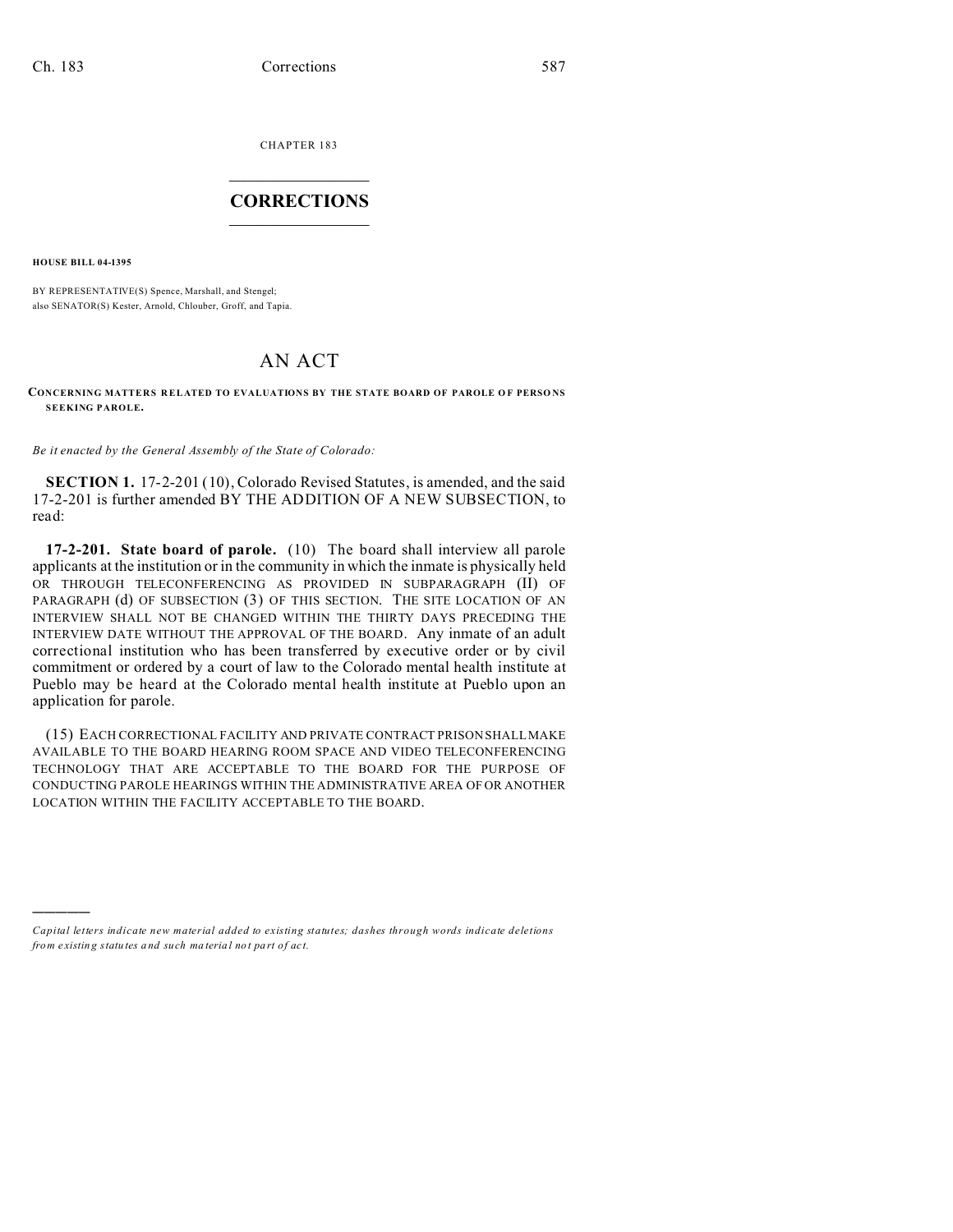CHAPTER 183  $\overline{\phantom{a}}$  , where  $\overline{\phantom{a}}$ 

## **CORRECTIONS**  $\frac{1}{2}$  ,  $\frac{1}{2}$  ,  $\frac{1}{2}$  ,  $\frac{1}{2}$  ,  $\frac{1}{2}$  ,  $\frac{1}{2}$

**HOUSE BILL 04-1395**

)))))

BY REPRESENTATIVE(S) Spence, Marshall, and Stengel; also SENATOR(S) Kester, Arnold, Chlouber, Groff, and Tapia.

## AN ACT

## **CONCERNING MATTERS RELATED TO EVALUATIONS BY THE STATE BOARD OF PAROLE O F PERSO NS SEEKING PAROLE.**

*Be it enacted by the General Assembly of the State of Colorado:*

**SECTION 1.** 17-2-201 (10), Colorado Revised Statutes, is amended, and the said 17-2-201 is further amended BY THE ADDITION OF A NEW SUBSECTION, to read:

**17-2-201. State board of parole.** (10) The board shall interview all parole applicants at the institution or in the community in which the inmate is physically held OR THROUGH TELECONFERENCING AS PROVIDED IN SUBPARAGRAPH (II) OF PARAGRAPH (d) OF SUBSECTION (3) OF THIS SECTION. THE SITE LOCATION OF AN INTERVIEW SHALL NOT BE CHANGED WITHIN THE THIRTY DAYS PRECEDING THE INTERVIEW DATE WITHOUT THE APPROVAL OF THE BOARD. Any inmate of an adult correctional institution who has been transferred by executive order or by civil commitment or ordered by a court of law to the Colorado mental health institute at Pueblo may be heard at the Colorado mental health institute at Pueblo upon an application for parole.

(15) EACH CORRECTIONAL FACILITY AND PRIVATE CONTRACT PRISON SHALL MAKE AVAILABLE TO THE BOARD HEARING ROOM SPACE AND VIDEO TELECONFERENCING TECHNOLOGY THAT ARE ACCEPTABLE TO THE BOARD FOR THE PURPOSE OF CONDUCTING PAROLE HEARINGS WITHIN THE ADMINISTRATIVE AREA OF OR ANOTHER LOCATION WITHIN THE FACILITY ACCEPTABLE TO THE BOARD.

*Capital letters indicate new material added to existing statutes; dashes through words indicate deletions from e xistin g statu tes a nd such ma teria l no t pa rt of ac t.*